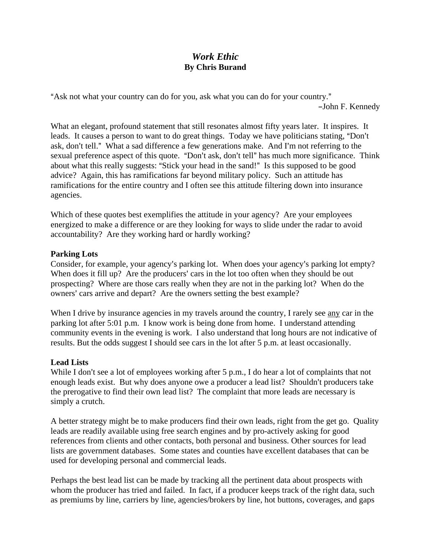## *Work Ethic*  **By Chris Burand**

"Ask not what your country can do for you, ask what you can do for your country." -John F. Kennedy

What an elegant, profound statement that still resonates almost fifty years later. It inspires. It leads. It causes a person to want to do great things. Today we have politicians stating, "Don't ask, don't tell." What a sad difference a few generations make. And I'm not referring to the sexual preference aspect of this quote. "Don't ask, don't tell" has much more significance. Think about what this really suggests: "Stick your head in the sand!" Is this supposed to be good advice? Again, this has ramifications far beyond military policy. Such an attitude has ramifications for the entire country and I often see this attitude filtering down into insurance agencies.

Which of these quotes best exemplifies the attitude in your agency? Are your employees energized to make a difference or are they looking for ways to slide under the radar to avoid accountability? Are they working hard or hardly working?

## **Parking Lots**

Consider, for example, your agency's parking lot. When does your agency's parking lot empty? When does it fill up? Are the producers' cars in the lot too often when they should be out prospecting? Where are those cars really when they are not in the parking lot? When do the owners' cars arrive and depart? Are the owners setting the best example?

When I drive by insurance agencies in my travels around the country, I rarely see any car in the parking lot after 5:01 p.m. I know work is being done from home. I understand attending community events in the evening is work. I also understand that long hours are not indicative of results. But the odds suggest I should see cars in the lot after 5 p.m. at least occasionally.

## **Lead Lists**

While I don't see a lot of employees working after 5 p.m., I do hear a lot of complaints that not enough leads exist. But why does anyone owe a producer a lead list? Shouldn't producers take the prerogative to find their own lead list? The complaint that more leads are necessary is simply a crutch.

A better strategy might be to make producers find their own leads, right from the get go. Quality leads are readily available using free search engines and by pro-actively asking for good references from clients and other contacts, both personal and business. Other sources for lead lists are government databases. Some states and counties have excellent databases that can be used for developing personal and commercial leads.

Perhaps the best lead list can be made by tracking all the pertinent data about prospects with whom the producer has tried and failed. In fact, if a producer keeps track of the right data, such as premiums by line, carriers by line, agencies/brokers by line, hot buttons, coverages, and gaps